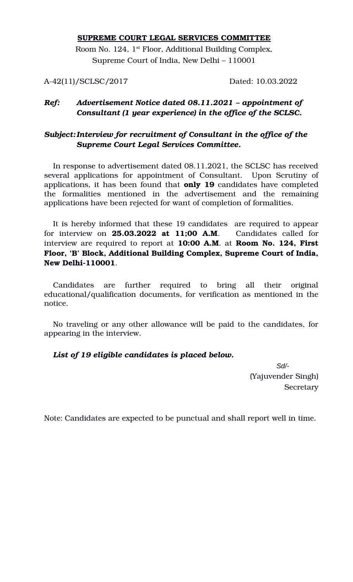### **SUPREME COURT LEGAL SERVICES COMMITTEE**

Room No. 124, 1<sup>st</sup> Floor, Additional Building Complex, Supreme Court of India, New Delhi – 110001

A-42(11)/SCLSC/2017 Dated: 10.03.2022

# *Ref: Advertisement Notice dated 08.11.2021 – appointment of Consultant (1 year experience) in the office of the SCLSC.*

# *Subject:Interview for recruitment of Consultant in the office of the Supreme Court Legal Services Committee.*

In response to advertisement dated 08.11.2021, the SCLSC has received several applications for appointment of Consultant. Upon Scrutiny of applications, it has been found that **only 19** candidates have completed the formalities mentioned in the advertisement and the remaining applications have been rejected for want of completion of formalities.

It is hereby informed that these 19 candidates are required to appear for interview on **25.03.2022 at 11;00 A.M.** Candidates called for interview are required to report at **10:00 A.M**. at **Room No. 124, First Floor, 'B' Block, Additional Building Complex, Supreme Court of India, New Delhi-110001.** 

Candidates are further required to bring all their original educational/qualification documents, for verification as mentioned in the notice.

No traveling or any other allowance will be paid to the candidates, for appearing in the interview.

## *List of 19 eligible candidates is placed below.*

*Sd/-* (Yajuvender Singh) **Secretary** 

Note: Candidates are expected to be punctual and shall report well in time.